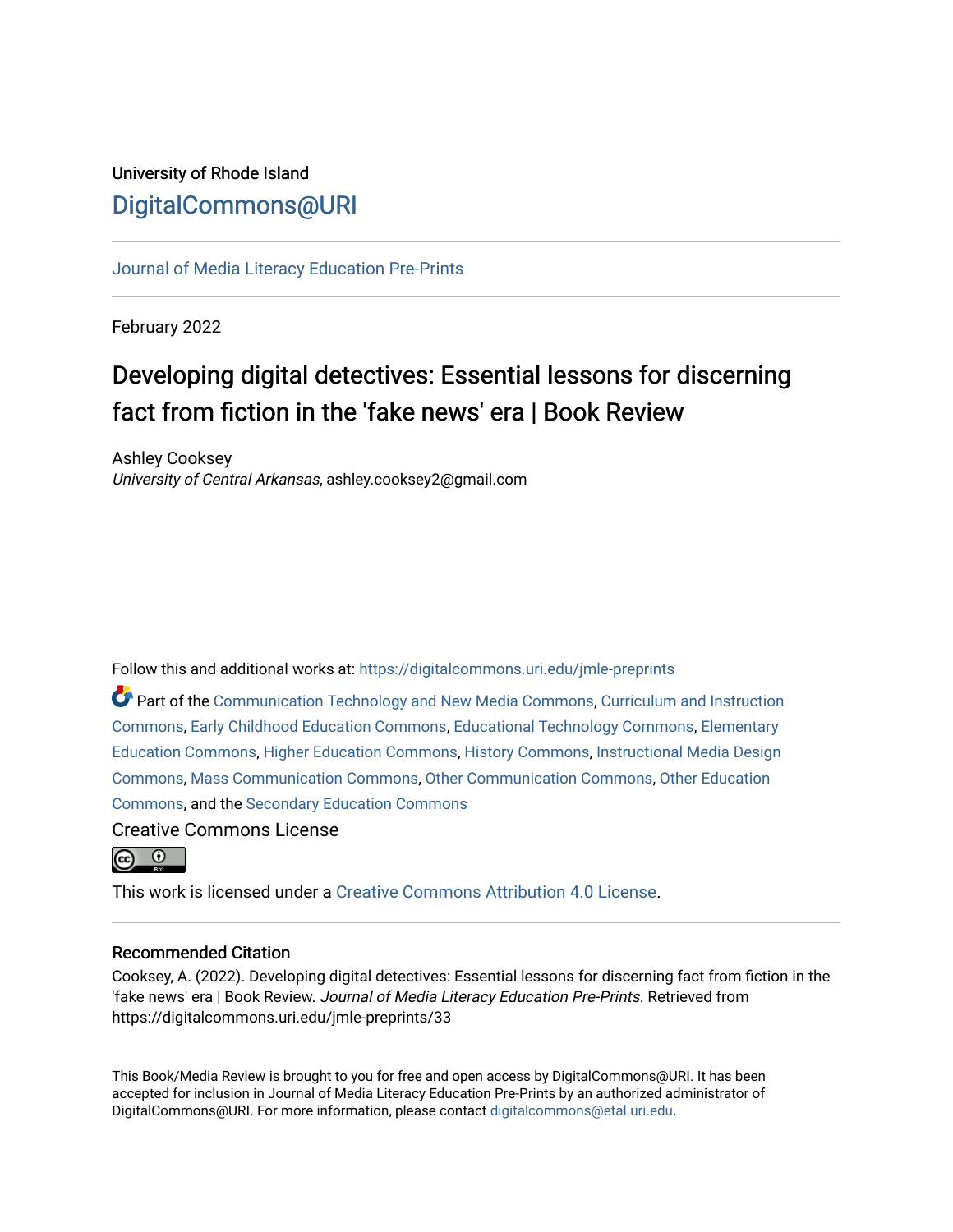# University of Rhode Island [DigitalCommons@URI](https://digitalcommons.uri.edu/)

[Journal of Media Literacy Education Pre-Prints](https://digitalcommons.uri.edu/jmle-preprints)

February 2022

# Developing digital detectives: Essential lessons for discerning fact from fiction in the 'fake news' era | Book Review

Ashley Cooksey University of Central Arkansas, ashley.cooksey2@gmail.com

Follow this and additional works at: [https://digitalcommons.uri.edu/jmle-preprints](https://digitalcommons.uri.edu/jmle-preprints?utm_source=digitalcommons.uri.edu%2Fjmle-preprints%2F33&utm_medium=PDF&utm_campaign=PDFCoverPages) 

**P** Part of the [Communication Technology and New Media Commons,](http://network.bepress.com/hgg/discipline/327?utm_source=digitalcommons.uri.edu%2Fjmle-preprints%2F33&utm_medium=PDF&utm_campaign=PDFCoverPages) [Curriculum and Instruction](http://network.bepress.com/hgg/discipline/786?utm_source=digitalcommons.uri.edu%2Fjmle-preprints%2F33&utm_medium=PDF&utm_campaign=PDFCoverPages) [Commons](http://network.bepress.com/hgg/discipline/786?utm_source=digitalcommons.uri.edu%2Fjmle-preprints%2F33&utm_medium=PDF&utm_campaign=PDFCoverPages), [Early Childhood Education Commons](http://network.bepress.com/hgg/discipline/1377?utm_source=digitalcommons.uri.edu%2Fjmle-preprints%2F33&utm_medium=PDF&utm_campaign=PDFCoverPages), [Educational Technology Commons](http://network.bepress.com/hgg/discipline/1415?utm_source=digitalcommons.uri.edu%2Fjmle-preprints%2F33&utm_medium=PDF&utm_campaign=PDFCoverPages), [Elementary](http://network.bepress.com/hgg/discipline/1378?utm_source=digitalcommons.uri.edu%2Fjmle-preprints%2F33&utm_medium=PDF&utm_campaign=PDFCoverPages) [Education Commons,](http://network.bepress.com/hgg/discipline/1378?utm_source=digitalcommons.uri.edu%2Fjmle-preprints%2F33&utm_medium=PDF&utm_campaign=PDFCoverPages) [Higher Education Commons](http://network.bepress.com/hgg/discipline/1245?utm_source=digitalcommons.uri.edu%2Fjmle-preprints%2F33&utm_medium=PDF&utm_campaign=PDFCoverPages), [History Commons,](http://network.bepress.com/hgg/discipline/489?utm_source=digitalcommons.uri.edu%2Fjmle-preprints%2F33&utm_medium=PDF&utm_campaign=PDFCoverPages) [Instructional Media Design](http://network.bepress.com/hgg/discipline/795?utm_source=digitalcommons.uri.edu%2Fjmle-preprints%2F33&utm_medium=PDF&utm_campaign=PDFCoverPages)  [Commons](http://network.bepress.com/hgg/discipline/795?utm_source=digitalcommons.uri.edu%2Fjmle-preprints%2F33&utm_medium=PDF&utm_campaign=PDFCoverPages), [Mass Communication Commons,](http://network.bepress.com/hgg/discipline/334?utm_source=digitalcommons.uri.edu%2Fjmle-preprints%2F33&utm_medium=PDF&utm_campaign=PDFCoverPages) [Other Communication Commons,](http://network.bepress.com/hgg/discipline/339?utm_source=digitalcommons.uri.edu%2Fjmle-preprints%2F33&utm_medium=PDF&utm_campaign=PDFCoverPages) [Other Education](http://network.bepress.com/hgg/discipline/811?utm_source=digitalcommons.uri.edu%2Fjmle-preprints%2F33&utm_medium=PDF&utm_campaign=PDFCoverPages) [Commons](http://network.bepress.com/hgg/discipline/811?utm_source=digitalcommons.uri.edu%2Fjmle-preprints%2F33&utm_medium=PDF&utm_campaign=PDFCoverPages), and the [Secondary Education Commons](http://network.bepress.com/hgg/discipline/1382?utm_source=digitalcommons.uri.edu%2Fjmle-preprints%2F33&utm_medium=PDF&utm_campaign=PDFCoverPages) 

Creative Commons License



This work is licensed under a [Creative Commons Attribution 4.0 License](https://creativecommons.org/licenses/by/4.0/).

#### Recommended Citation

Cooksey, A. (2022). Developing digital detectives: Essential lessons for discerning fact from fiction in the 'fake news' era | Book Review. Journal of Media Literacy Education Pre-Prints. Retrieved from https://digitalcommons.uri.edu/jmle-preprints/33

This Book/Media Review is brought to you for free and open access by DigitalCommons@URI. It has been accepted for inclusion in Journal of Media Literacy Education Pre-Prints by an authorized administrator of DigitalCommons@URI. For more information, please contact [digitalcommons@etal.uri.edu.](mailto:digitalcommons@etal.uri.edu)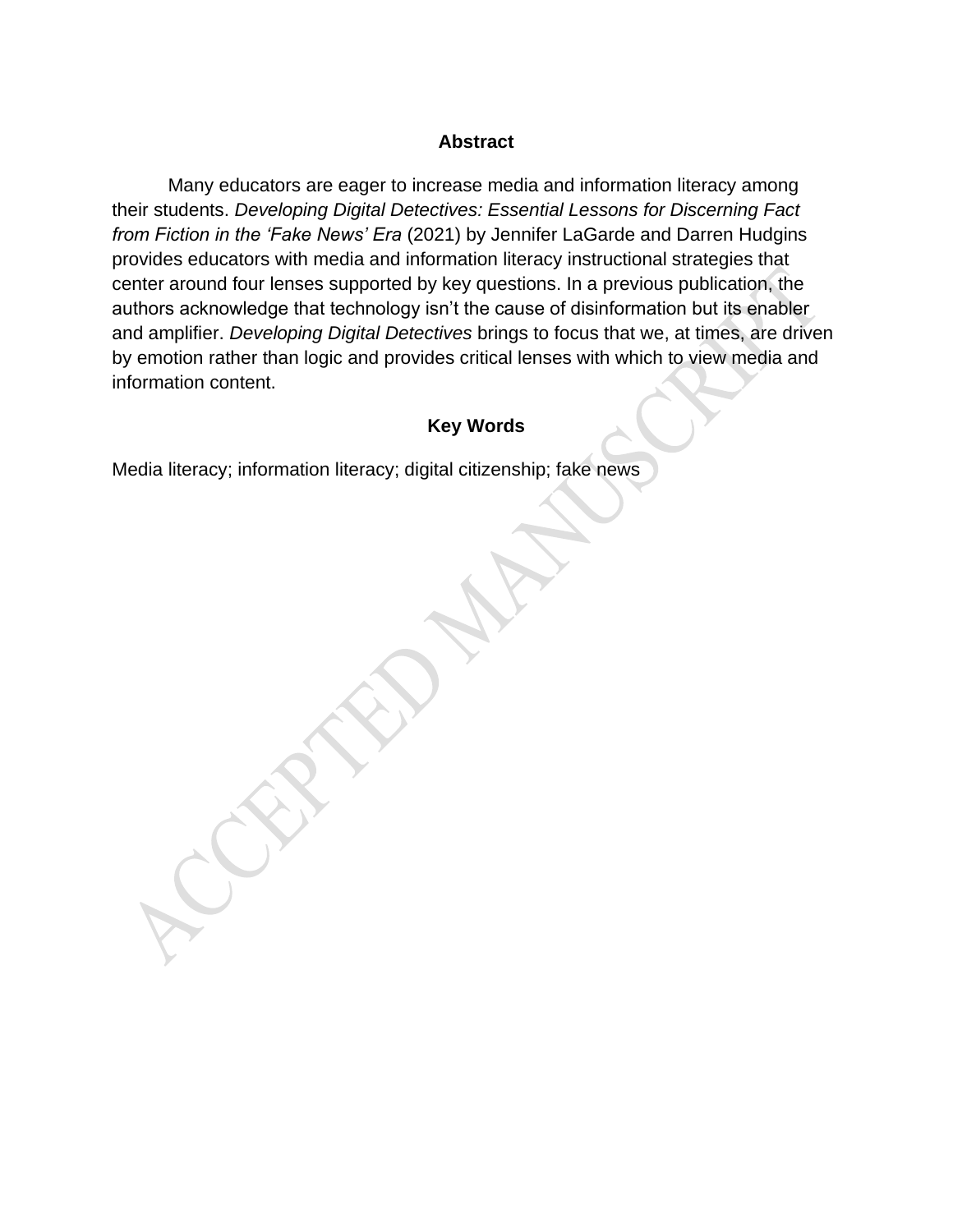#### **Abstract**

Many educators are eager to increase media and information literacy among their students. *Developing Digital Detectives: Essential Lessons for Discerning Fact from Fiction in the 'Fake News' Era* (2021) by Jennifer LaGarde and Darren Hudgins provides educators with media and information literacy instructional strategies that center around four lenses supported by key questions. In a previous publication, the authors acknowledge that technology isn't the cause of disinformation but its enabler and amplifier. *Developing Digital Detectives* brings to focus that we, at times, are driven by emotion rather than logic and provides critical lenses with which to view media and information content.

### **Key Words**

Media literacy; information literacy; digital citizenship; fake news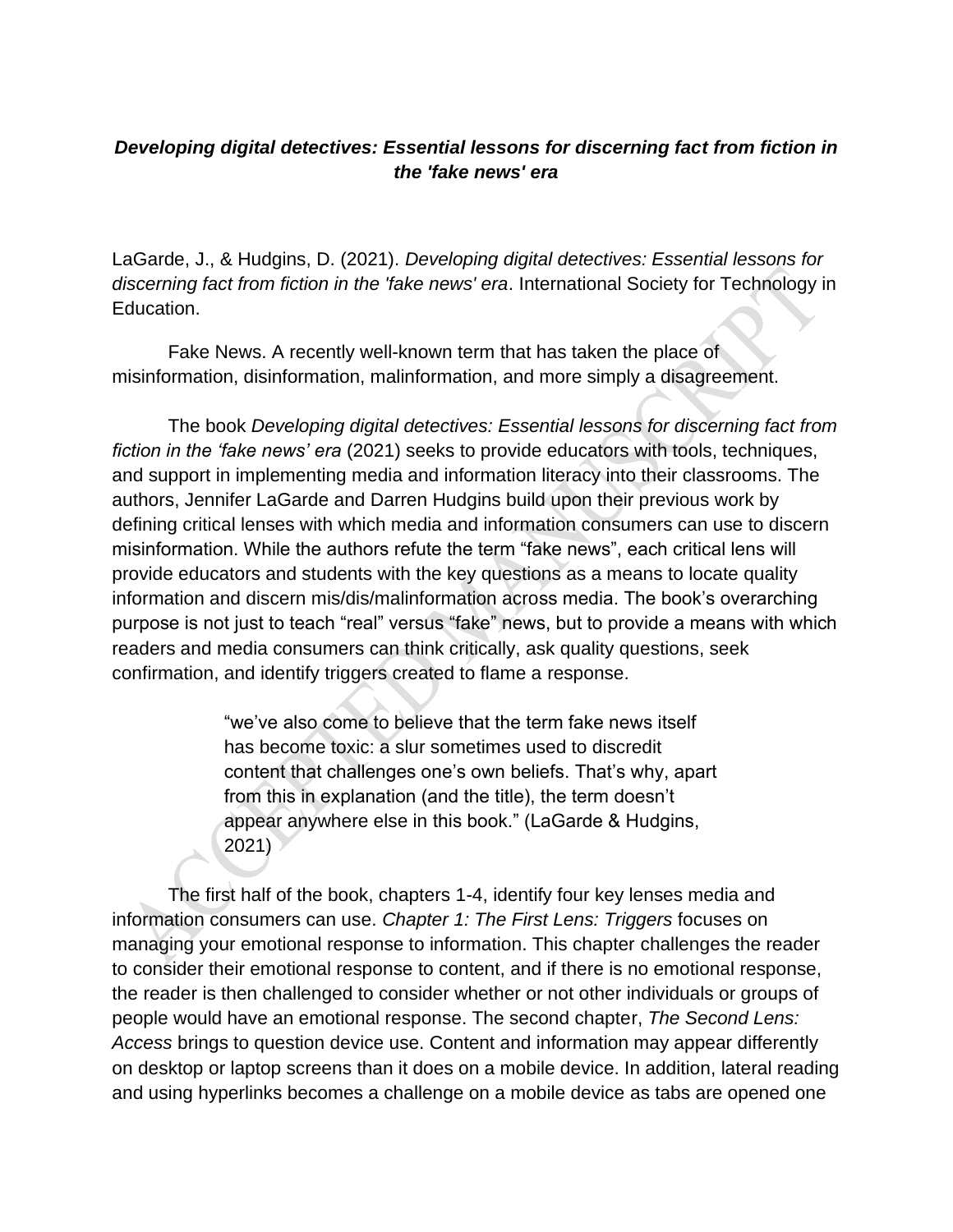## *Developing digital detectives: Essential lessons for discerning fact from fiction in the 'fake news' era*

LaGarde, J., & Hudgins, D. (2021). *Developing digital detectives: Essential lessons for discerning fact from fiction in the 'fake news' era*. International Society for Technology in Education.

Fake News. A recently well-known term that has taken the place of misinformation, disinformation, malinformation, and more simply a disagreement.

The book *Developing digital detectives: Essential lessons for discerning fact from fiction in the 'fake news' era* (2021) seeks to provide educators with tools, techniques, and support in implementing media and information literacy into their classrooms. The authors, Jennifer LaGarde and Darren Hudgins build upon their previous work by defining critical lenses with which media and information consumers can use to discern misinformation. While the authors refute the term "fake news", each critical lens will provide educators and students with the key questions as a means to locate quality information and discern mis/dis/malinformation across media. The book's overarching purpose is not just to teach "real" versus "fake" news, but to provide a means with which readers and media consumers can think critically, ask quality questions, seek confirmation, and identify triggers created to flame a response.

> "we've also come to believe that the term fake news itself has become toxic: a slur sometimes used to discredit content that challenges one's own beliefs. That's why, apart from this in explanation (and the title), the term doesn't appear anywhere else in this book." (LaGarde & Hudgins, 2021)

The first half of the book, chapters 1-4, identify four key lenses media and information consumers can use. *Chapter 1: The First Lens: Triggers* focuses on managing your emotional response to information. This chapter challenges the reader to consider their emotional response to content, and if there is no emotional response, the reader is then challenged to consider whether or not other individuals or groups of people would have an emotional response. The second chapter, *The Second Lens: Access* brings to question device use. Content and information may appear differently on desktop or laptop screens than it does on a mobile device. In addition, lateral reading and using hyperlinks becomes a challenge on a mobile device as tabs are opened one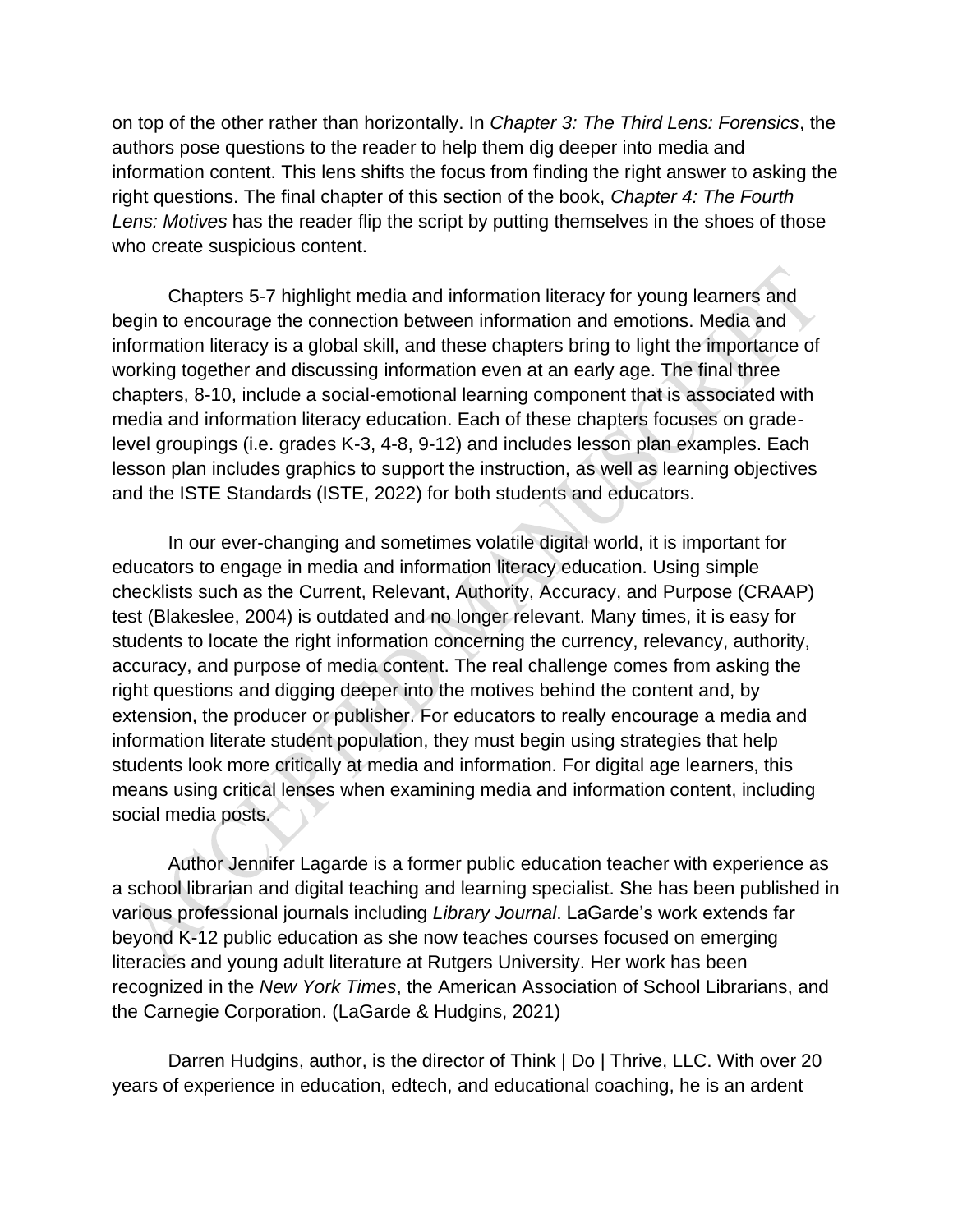on top of the other rather than horizontally. In *Chapter 3: The Third Lens: Forensics*, the authors pose questions to the reader to help them dig deeper into media and information content. This lens shifts the focus from finding the right answer to asking the right questions. The final chapter of this section of the book, *Chapter 4: The Fourth Lens: Motives* has the reader flip the script by putting themselves in the shoes of those who create suspicious content.

Chapters 5-7 highlight media and information literacy for young learners and begin to encourage the connection between information and emotions. Media and information literacy is a global skill, and these chapters bring to light the importance of working together and discussing information even at an early age. The final three chapters, 8-10, include a social-emotional learning component that is associated with media and information literacy education. Each of these chapters focuses on gradelevel groupings (i.e. grades K-3, 4-8, 9-12) and includes lesson plan examples. Each lesson plan includes graphics to support the instruction, as well as learning objectives and the ISTE Standards (ISTE, 2022) for both students and educators.

In our ever-changing and sometimes volatile digital world, it is important for educators to engage in media and information literacy education. Using simple checklists such as the Current, Relevant, Authority, Accuracy, and Purpose (CRAAP) test (Blakeslee, 2004) is outdated and no longer relevant. Many times, it is easy for students to locate the right information concerning the currency, relevancy, authority, accuracy, and purpose of media content. The real challenge comes from asking the right questions and digging deeper into the motives behind the content and, by extension, the producer or publisher. For educators to really encourage a media and information literate student population, they must begin using strategies that help students look more critically at media and information. For digital age learners, this means using critical lenses when examining media and information content, including social media posts.

Author Jennifer Lagarde is a former public education teacher with experience as a school librarian and digital teaching and learning specialist. She has been published in various professional journals including *Library Journal*. LaGarde's work extends far beyond K-12 public education as she now teaches courses focused on emerging literacies and young adult literature at Rutgers University. Her work has been recognized in the *New York Times*, the American Association of School Librarians, and the Carnegie Corporation. (LaGarde & Hudgins, 2021)

Darren Hudgins, author, is the director of Think | Do | Thrive, LLC. With over 20 years of experience in education, edtech, and educational coaching, he is an ardent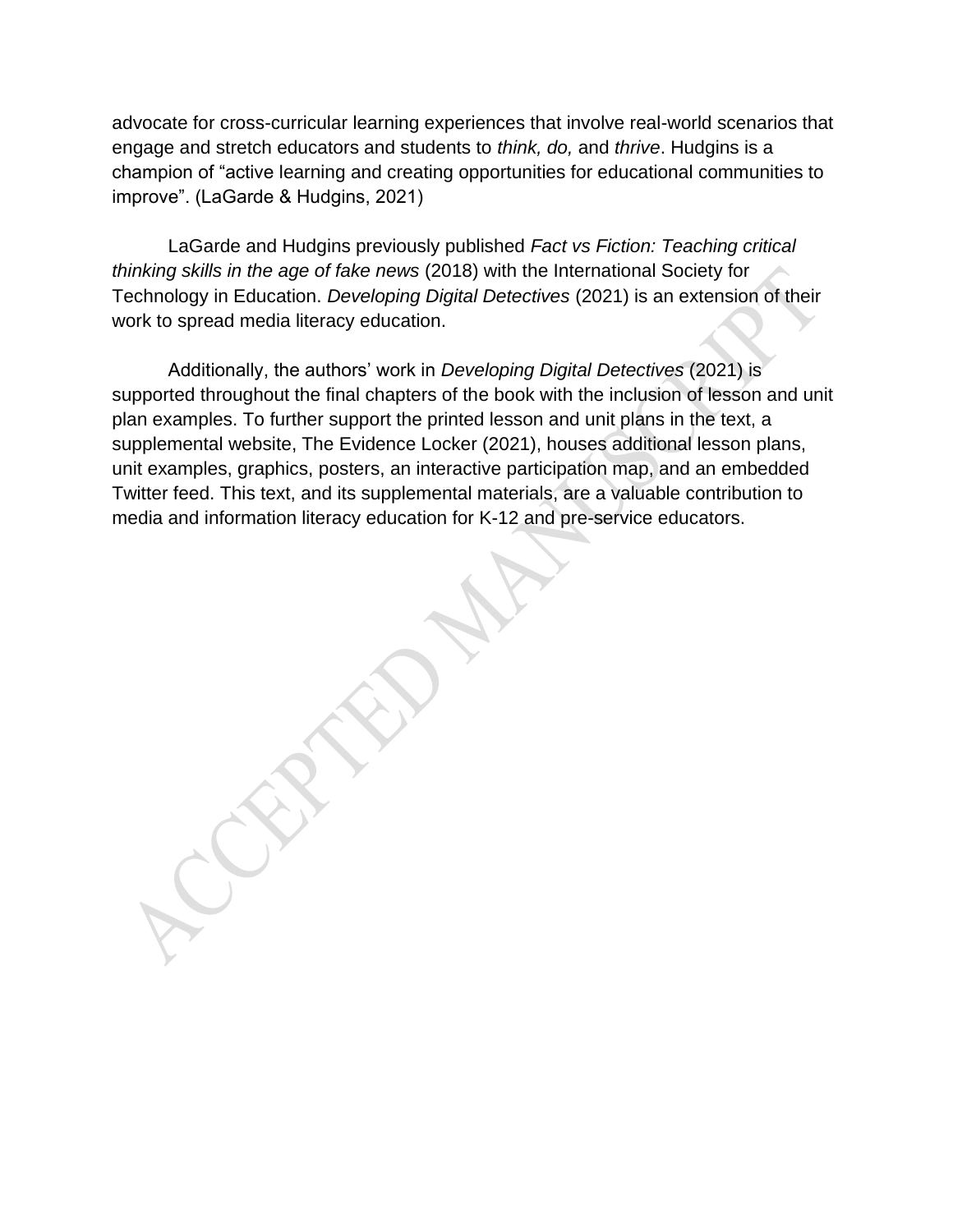advocate for cross-curricular learning experiences that involve real-world scenarios that engage and stretch educators and students to *think, do,* and *thrive*. Hudgins is a champion of "active learning and creating opportunities for educational communities to improve". (LaGarde & Hudgins, 2021)

LaGarde and Hudgins previously published *Fact vs Fiction: Teaching critical thinking skills in the age of fake news* (2018) with the International Society for Technology in Education. *Developing Digital Detectives* (2021) is an extension of their work to spread media literacy education.

Additionally, the authors' work in *Developing Digital Detectives* (2021) is supported throughout the final chapters of the book with the inclusion of lesson and unit plan examples. To further support the printed lesson and unit plans in the text, a supplemental website, The Evidence Locker (2021), houses additional lesson plans, unit examples, graphics, posters, an interactive participation map, and an embedded Twitter feed. This text, and its supplemental materials, are a valuable contribution to media and information literacy education for K-12 and pre-service educators.